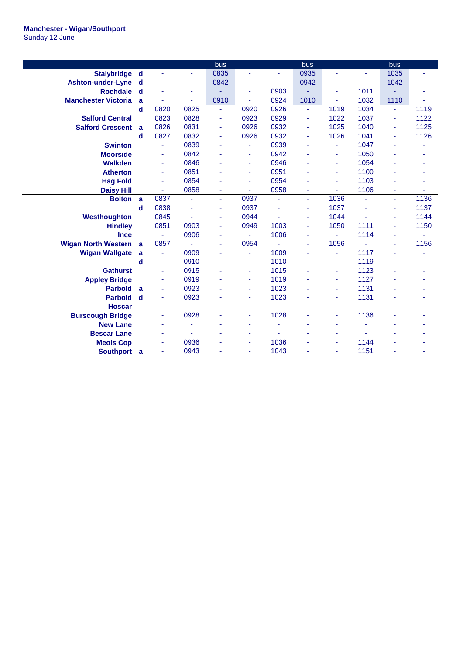|                            |             |                          |                | bus  |      |      | bus  |      |      | bus            |      |
|----------------------------|-------------|--------------------------|----------------|------|------|------|------|------|------|----------------|------|
| Stalybridge d              |             | $\blacksquare$           | ٠              | 0835 |      | ä,   | 0935 | ä,   | ä,   | 1035           | ä,   |
| <b>Ashton-under-Lyne</b>   | d           |                          | ٠              | 0842 | ٠    | ٠    | 0942 | ä,   | ٠    | 1042           |      |
| <b>Rochdale</b>            | d           |                          | ٠              |      | ٠    | 0903 |      | ٠    | 1011 |                |      |
| <b>Manchester Victoria</b> | a           | ×,                       | ÷              | 0910 | ٠    | 0924 | 1010 | ä,   | 1032 | 1110           |      |
|                            | d           | 0820                     | 0825           | ä,   | 0920 | 0926 | ÷.   | 1019 | 1034 | ä,             | 1119 |
| <b>Salford Central</b>     |             | 0823                     | 0828           | ä,   | 0923 | 0929 | ä,   | 1022 | 1037 | ä,             | 1122 |
| <b>Salford Crescent</b>    | a           | 0826                     | 0831           | ÷    | 0926 | 0932 | ä,   | 1025 | 1040 | ä,             | 1125 |
|                            | d           | 0827                     | 0832           | ٠    | 0926 | 0932 | Ξ    | 1026 | 1041 | $\blacksquare$ | 1126 |
| <b>Swinton</b>             |             | ä,                       | 0839           | ä,   | ÷    | 0939 | ÷,   | ٠    | 1047 | ٠              |      |
| <b>Moorside</b>            |             | ٠                        | 0842           |      | ٠    | 0942 |      | ٠    | 1050 |                |      |
| <b>Walkden</b>             |             | ÷                        | 0846           |      | ٠    | 0946 |      | ٠    | 1054 |                |      |
| <b>Atherton</b>            |             | $\overline{\phantom{a}}$ | 0851           |      | ٠    | 0951 |      | ä,   | 1100 |                |      |
| <b>Hag Fold</b>            |             | $\blacksquare$           | 0854           |      | ٠    | 0954 |      | ä,   | 1103 |                |      |
| <b>Daisy Hill</b>          |             | ÷.                       | 0858           |      |      | 0958 | ÷    |      | 1106 |                |      |
| <b>Bolton</b>              | a           | 0837                     | $\blacksquare$ | ä,   | 0937 | ä,   | ٠    | 1036 |      | ÷              | 1136 |
|                            | d           | 0838                     | ä,             | ÷    | 0937 | ä,   | ٠    | 1037 |      | ٠              | 1137 |
| Westhoughton               |             | 0845                     | ٠              | ÷    | 0944 | ä,   | ÷    | 1044 |      |                | 1144 |
| <b>Hindley</b>             |             | 0851                     | 0903           | ÷    | 0949 | 1003 | ÷    | 1050 | 1111 |                | 1150 |
| <b>Ince</b>                |             | ÷                        | 0906           | ٠    |      | 1006 | ÷    | ä,   | 1114 |                |      |
| <b>Wigan North Western</b> | a           | 0857                     | ÷              | ÷    | 0954 | ä,   | ٠    | 1056 | ä,   | $\blacksquare$ | 1156 |
| <b>Wigan Wallgate</b>      | a           | $\blacksquare$           | 0909           | ä,   | ÷.   | 1009 | ä,   | ÷    | 1117 | ÷.             |      |
|                            | d           | ÷.                       | 0910           |      | ٠    | 1010 |      | ä,   | 1119 |                |      |
| <b>Gathurst</b>            |             | $\blacksquare$           | 0915           |      | ٠    | 1015 |      | ٠    | 1123 |                |      |
| <b>Appley Bridge</b>       |             | $\blacksquare$           | 0919           |      | ٠    | 1019 |      | ÷    | 1127 |                |      |
| <b>Parbold</b>             | a           | $\blacksquare$           | 0923           |      | ٠    | 1023 | ٠    | Ξ    | 1131 | ä,             | ٠    |
| <b>Parbold</b>             | $\mathbf d$ | $\blacksquare$           | 0923           | ä,   | ٠    | 1023 | ä,   | ä,   | 1131 |                | ٠    |
| <b>Hoscar</b>              |             | ٠                        |                |      |      |      |      | ÷    |      |                |      |
| <b>Burscough Bridge</b>    |             |                          | 0928           |      |      | 1028 |      | ٠    | 1136 |                |      |
| <b>New Lane</b>            |             |                          | ٠              |      |      | ÷    |      |      |      |                |      |
| <b>Bescar Lane</b>         |             |                          |                |      |      |      |      |      |      |                |      |
| <b>Meols Cop</b>           |             | ٠                        | 0936           |      | ٠    | 1036 |      | ä,   | 1144 |                |      |
| Southport a                |             | ÷,                       | 0943           |      |      | 1043 |      | ä,   | 1151 |                |      |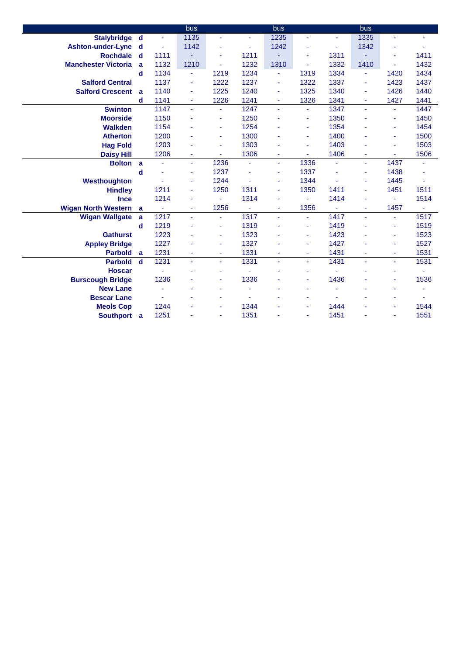|                            |             |      | bus                      |                |                | bus  |                |                          | bus            |      |                |
|----------------------------|-------------|------|--------------------------|----------------|----------------|------|----------------|--------------------------|----------------|------|----------------|
| <b>Stalybridge</b>         | d           | ä,   | 1135                     | ÷              | ÷              | 1235 | ä,             | ٠                        | 1335           | ٠    | ٠              |
| <b>Ashton-under-Lyne</b>   | $\mathbf d$ | Ξ    | 1142                     |                | ٠              | 1242 | ä,             | ä,                       | 1342           | ÷    |                |
| <b>Rochdale</b>            | $\mathbf d$ | 1111 | ٠                        | ÷              | 1211           |      | ä,             | 1311                     |                | ä,   | 1411           |
| <b>Manchester Victoria</b> | a           | 1132 | 1210                     |                | 1232           | 1310 | ä,             | 1332                     | 1410           |      | 1432           |
|                            | $\mathbf d$ | 1134 | $\blacksquare$           | 1219           | 1234           | ٠    | 1319           | 1334                     | ٠              | 1420 | 1434           |
| <b>Salford Central</b>     |             | 1137 | $\blacksquare$           | 1222           | 1237           | ٠    | 1322           | 1337                     | ٠              | 1423 | 1437           |
| <b>Salford Crescent</b>    | a           | 1140 | ٠                        | 1225           | 1240           | ٠    | 1325           | 1340                     | ٠              | 1426 | 1440           |
|                            | d           | 1141 | $\blacksquare$           | 1226           | 1241           | ٠    | 1326           | 1341                     | ٠              | 1427 | 1441           |
| <b>Swinton</b>             |             | 1147 | $\omega$                 | ÷.             | 1247           | Ξ    | $\blacksquare$ | 1347                     | a.             | ÷.   | 1447           |
| <b>Moorside</b>            |             | 1150 | ä,                       | ÷              | 1250           | ٠    | ä,             | 1350                     |                | ٠    | 1450           |
| <b>Walkden</b>             |             | 1154 | ÷                        | $\omega$       | 1254           | ÷    | ä,             | 1354                     |                | ٠    | 1454           |
| <b>Atherton</b>            |             | 1200 | ä,                       | $\blacksquare$ | 1300           |      | ä,             | 1400                     |                | ä,   | 1500           |
| <b>Hag Fold</b>            |             | 1203 | ä,                       | ٠              | 1303           | ۰    | ä,             | 1403                     |                | ٠    | 1503           |
| <b>Daisy Hill</b>          |             | 1206 | ä,                       | ÷              | 1306           | ٠    | ä,             | 1406                     |                | ä,   | 1506           |
| <b>Bolton</b>              | a           | ä,   | $\blacksquare$           | 1236           | $\blacksquare$ | ÷    | 1336           | $\overline{\phantom{a}}$ | $\sim$         | 1437 | ٠              |
|                            | d           |      | $\overline{\phantom{a}}$ | 1237           |                | ٠    | 1337           | ä,                       | ٠              | 1438 |                |
| Westhoughton               |             |      | ÷                        | 1244           | ä,             | ٠    | 1344           | ä,                       | ٠              | 1445 | $\blacksquare$ |
| <b>Hindley</b>             |             | 1211 | ٠                        | 1250           | 1311           | ٠    | 1350           | 1411                     | ٠              | 1451 | 1511           |
| <b>Ince</b>                |             | 1214 | ÷                        | ÷.             | 1314           | ۰    | ä,             | 1414                     |                | ä,   | 1514           |
| <b>Wigan North Western</b> | a           | ÷    | $\blacksquare$           | 1256           | ÷              | ٠    | 1356           | ÷                        | ٠              | 1457 |                |
| <b>Wigan Wallgate</b>      | a           | 1217 | $\blacksquare$           | ÷.             | 1317           | Ξ    | ä,             | 1417                     | ÷.             | ÷.   | 1517           |
|                            | $\mathbf d$ | 1219 |                          | $\blacksquare$ | 1319           | ÷    | ä,             | 1419                     |                | ä,   | 1519           |
| <b>Gathurst</b>            |             | 1223 |                          | $\blacksquare$ | 1323           |      | ä,             | 1423                     |                | ٠    | 1523           |
| <b>Appley Bridge</b>       |             | 1227 |                          |                | 1327           |      | ä,             | 1427                     |                | ٠    | 1527           |
| <b>Parbold</b>             | a           | 1231 | ٠                        | ÷              | 1331           | ٠    | ä,             | 1431                     | $\blacksquare$ | ٠    | 1531           |
| <b>Parbold</b>             | $\mathbf d$ | 1231 | ÷.                       | ÷.             | 1331           | ÷.   | ÷.             | 1431                     | $\blacksquare$ | ä,   | 1531           |
| <b>Hoscar</b>              |             | ä,   |                          |                |                |      | ä,             | ٠                        |                |      | ÷              |
| <b>Burscough Bridge</b>    |             | 1236 |                          |                | 1336           |      | ä,             | 1436                     |                |      | 1536           |
| <b>New Lane</b>            |             |      |                          |                |                |      | ä,             |                          |                |      | ٠              |
| <b>Bescar Lane</b>         |             |      |                          |                | ٠              |      | ä,             | ٠                        |                |      |                |
| <b>Meols Cop</b>           |             | 1244 |                          |                | 1344           |      | ä,             | 1444                     |                |      | 1544           |
| Southport a                |             | 1251 |                          |                | 1351           |      | ä,             | 1451                     |                |      | 1551           |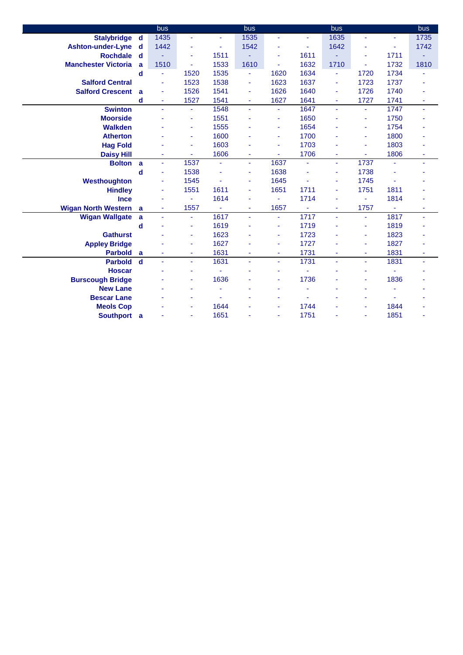|                            |             | bus  |                          |      | bus  |      |      | bus  |      |                | bus  |
|----------------------------|-------------|------|--------------------------|------|------|------|------|------|------|----------------|------|
| <b>Stalybridge</b>         | d           | 1435 | ä,                       |      | 1535 | ä,   | ä,   | 1635 |      | ä,             | 1735 |
| <b>Ashton-under-Lyne</b>   | d           | 1442 | ٠                        | ٠    | 1542 | ٠    | ٠    | 1642 |      | ÷              | 1742 |
| <b>Rochdale</b>            | $\mathbf d$ |      | ÷                        | 1511 | ٠    | ä,   | 1611 |      | ÷    | 1711           | ٠    |
| <b>Manchester Victoria</b> | a           | 1510 | $\blacksquare$           | 1533 | 1610 |      | 1632 | 1710 | ٠    | 1732           | 1810 |
|                            | $\mathbf d$ | ٠    | 1520                     | 1535 | ä,   | 1620 | 1634 | ÷    | 1720 | 1734           |      |
| <b>Salford Central</b>     |             | ä,   | 1523                     | 1538 | ÷    | 1623 | 1637 | ٠    | 1723 | 1737           |      |
| <b>Salford Crescent</b>    | a           | ä,   | 1526                     | 1541 | ä,   | 1626 | 1640 | ÷    | 1726 | 1740           |      |
|                            | d           | ٠    | 1527                     | 1541 | ä,   | 1627 | 1641 | ٠    | 1727 | 1741           |      |
| <b>Swinton</b>             |             | ÷    | $\blacksquare$           | 1548 | ÷.   | ÷    | 1647 | ÷,   | ÷    | 1747           | ÷    |
| <b>Moorside</b>            |             |      | ÷                        | 1551 |      | ٠    | 1650 |      | ٠    | 1750           |      |
| <b>Walkden</b>             |             |      | ÷                        | 1555 |      | ٠    | 1654 |      | ÷    | 1754           |      |
| <b>Atherton</b>            |             |      | $\blacksquare$           | 1600 |      | ÷    | 1700 |      | ٠    | 1800           |      |
| <b>Hag Fold</b>            |             |      | $\overline{\phantom{a}}$ | 1603 | ä    | ÷    | 1703 |      | ٠    | 1803           |      |
| <b>Daisy Hill</b>          |             | ä,   | ÷                        | 1606 | ä,   | ٠    | 1706 | ÷    | ٠    | 1806           | ÷    |
| <b>Bolton</b>              | a           | ä,   | 1537                     | ÷    | ä,   | 1637 | ä,   | ä,   | 1737 | ä,             | ٠    |
|                            | $\mathbf d$ | ä,   | 1538                     |      | ä,   | 1638 |      | ÷    | 1738 |                |      |
| Westhoughton               |             | Ξ    | 1545                     |      | ÷    | 1645 |      | ä,   | 1745 | ä,             |      |
| <b>Hindley</b>             |             | ä,   | 1551                     | 1611 | ÷    | 1651 | 1711 | ÷    | 1751 | 1811           |      |
| <b>Ince</b>                |             | ä,   | ÷                        | 1614 | ä    | ٠    | 1714 | ÷    | ÷    | 1814           |      |
| <b>Wigan North Western</b> | a           | ۰    | 1557                     |      | ۰    | 1657 |      | ٠    | 1757 | ۰              | ٠    |
| <b>Wigan Wallgate</b>      | a           | Ξ    | $\overline{\phantom{a}}$ | 1617 | ä,   | ٠    | 1717 | Ξ    | ٠    | 1817           | ٠    |
|                            | d           |      | ÷                        | 1619 |      | ٠    | 1719 |      | ٠    | 1819           |      |
| <b>Gathurst</b>            |             |      | $\blacksquare$           | 1623 |      | ٠    | 1723 |      | ٠    | 1823           |      |
| <b>Appley Bridge</b>       |             |      | ÷                        | 1627 |      | ä,   | 1727 |      | ä,   | 1827           |      |
| <b>Parbold</b>             | a           | ٠    | $\blacksquare$           | 1631 | ÷    | ٠    | 1731 | ٠    | ٠    | 1831           | ٠    |
| <b>Parbold</b>             | $\mathbf d$ | ä,   | $\blacksquare$           | 1631 | ÷.   | ٠    | 1731 | ä,   | ÷    | 1831           | Ξ    |
| <b>Hoscar</b>              |             |      | $\blacksquare$           |      |      | ÷    |      |      | ٠    | $\blacksquare$ |      |
| <b>Burscough Bridge</b>    |             |      | ٠                        | 1636 |      | ٠    | 1736 |      | ٠    | 1836           |      |
| <b>New Lane</b>            |             |      | ٠                        |      |      | ۰    |      |      | ٠    |                |      |
| <b>Bescar Lane</b>         |             |      |                          |      |      |      |      |      | ٠    | $\mathbf{r}$   |      |
| <b>Meols Cop</b>           |             |      |                          | 1644 |      | ÷    | 1744 |      | ٠    | 1844           |      |
| Southport a                |             |      |                          | 1651 |      | ÷    | 1751 |      | ٠    | 1851           |      |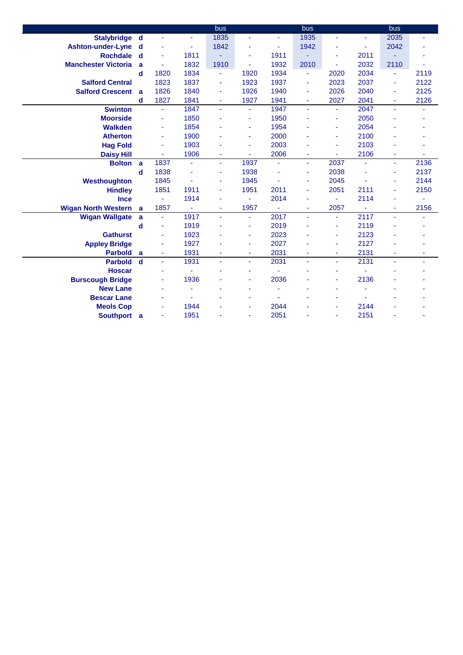|                            |             |                |                          | bus            |      |      | bus                      |      |      | bus  |      |
|----------------------------|-------------|----------------|--------------------------|----------------|------|------|--------------------------|------|------|------|------|
| Stalybridge d              |             | ä,             | ä,                       | 1835           | ä,   | ÷    | 1935                     | ä,   |      | 2035 | ä,   |
| <b>Ashton-under-Lyne</b>   | d           |                | ÷                        | 1842           | ٠    | ٠    | 1942                     | ۰    | ٠    | 2042 |      |
| <b>Rochdale</b>            | $\mathbf d$ | ä,             | 1811                     |                | ä,   | 1911 | Ξ                        | ä,   | 2011 |      |      |
| <b>Manchester Victoria</b> | a           |                | 1832                     | 1910           | ٠    | 1932 | 2010                     |      | 2032 | 2110 |      |
|                            | d           | 1820           | 1834                     | $\blacksquare$ | 1920 | 1934 | $\blacksquare$           | 2020 | 2034 | ä,   | 2119 |
| <b>Salford Central</b>     |             | 1823           | 1837                     | ٠              | 1923 | 1937 | ä,                       | 2023 | 2037 | ä,   | 2122 |
| <b>Salford Crescent</b>    | a           | 1826           | 1840                     |                | 1926 | 1940 | ÷                        | 2026 | 2040 | ä,   | 2125 |
|                            | d           | 1827           | 1841                     |                | 1927 | 1941 | ä,                       | 2027 | 2041 | ä,   | 2126 |
| <b>Swinton</b>             |             | $\blacksquare$ | 1847                     | $\blacksquare$ | ÷    | 1947 | ÷,                       | ٠    | 2047 | ÷.   | ÷    |
| <b>Moorside</b>            |             | ä,             | 1850                     |                | ä,   | 1950 |                          | ÷    | 2050 |      |      |
| <b>Walkden</b>             |             | ÷              | 1854                     |                | ٠    | 1954 |                          | ÷    | 2054 |      |      |
| <b>Atherton</b>            |             | ä,             | 1900                     |                | ä,   | 2000 |                          | ä,   | 2100 |      |      |
| <b>Hag Fold</b>            |             | ÷              | 1903                     |                | Ξ    | 2003 |                          | ÷    | 2103 |      |      |
| <b>Daisy Hill</b>          |             | ä,             | 1906                     |                | ä,   | 2006 | $\blacksquare$           | ä,   | 2106 | ä,   |      |
| <b>Bolton</b>              | a           | 1837           | $\overline{\phantom{a}}$ | ÷.             | 1937 | ٠    | ÷,                       | 2037 | ٠    | ÷.   | 2136 |
|                            | d           | 1838           |                          |                | 1938 |      | ä,                       | 2038 |      | ä,   | 2137 |
| Westhoughton               |             | 1845           | ÷,                       | ٠              | 1945 | ÷,   | ٠                        | 2045 | ä,   | ä,   | 2144 |
| <b>Hindley</b>             |             | 1851           | 1911                     |                | 1951 | 2011 | ä,                       | 2051 | 2111 | ä,   | 2150 |
| <b>Ince</b>                |             | ä,             | 1914                     |                | ÷.   | 2014 |                          | ÷    | 2114 |      |      |
| <b>Wigan North Western</b> | a           | 1857           | ÷                        | ٠              | 1957 |      | $\overline{\phantom{a}}$ | 2057 |      | ٠    | 2156 |
| <b>Wigan Wallgate</b>      | a           | $\blacksquare$ | 1917                     | ÷.             | ä,   | 2017 | ÷,                       | ٠    | 2117 | ÷.   | ٠    |
|                            | d           | ä,             | 1919                     |                | ä,   | 2019 |                          | ÷    | 2119 |      |      |
| <b>Gathurst</b>            |             |                | 1923                     |                | ÷    | 2023 |                          | ٠    | 2123 |      |      |
| <b>Appley Bridge</b>       |             | ٠              | 1927                     |                | ä,   | 2027 |                          | ÷    | 2127 |      |      |
| <b>Parbold</b>             | a           | ÷              | 1931                     |                | ٠    | 2031 | $\blacksquare$           | ٠    | 2131 | ÷.   |      |
| <b>Parbold</b>             | $\mathbf d$ | ä,             | 1931                     | ÷.             | ÷    | 2031 | ä,                       | ÷    | 2131 | ÷.   | ٠    |
| <b>Hoscar</b>              |             |                |                          |                | ä,   |      |                          |      |      |      |      |
| <b>Burscough Bridge</b>    |             | ÷              | 1936                     |                | ۰    | 2036 |                          | ٠    | 2136 |      |      |
| <b>New Lane</b>            |             |                |                          |                | ä,   |      |                          |      |      |      |      |
| <b>Bescar Lane</b>         |             |                |                          |                |      |      |                          |      |      |      |      |
| <b>Meols Cop</b>           |             |                | 1944                     |                |      | 2044 |                          |      | 2144 |      |      |
| Southport a                |             | ä,             | 1951                     |                | ٠    | 2051 |                          | ÷    | 2151 |      |      |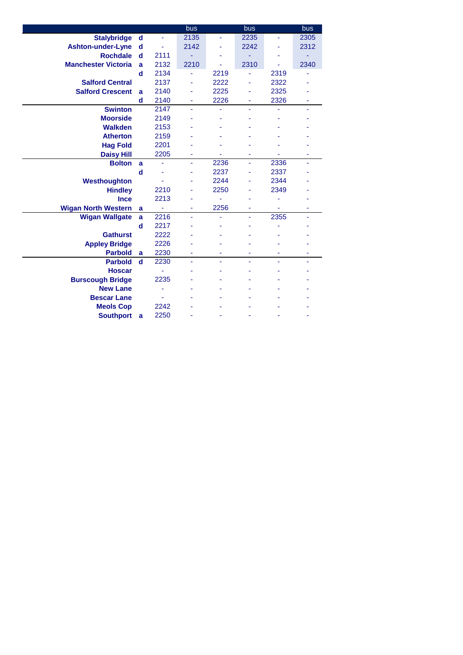|                            |             |      | bus  |      | bus  |      | bus  |
|----------------------------|-------------|------|------|------|------|------|------|
| <b>Stalybridge</b>         | $\mathbf d$ | ÷,   | 2135 |      | 2235 |      | 2305 |
| <b>Ashton-under-Lyne</b>   | d           |      | 2142 |      | 2242 |      | 2312 |
| <b>Rochdale</b>            | d           | 2111 |      |      |      |      |      |
| <b>Manchester Victoria</b> | a           | 2132 | 2210 |      | 2310 |      | 2340 |
|                            | d           | 2134 | ä,   | 2219 | ä,   | 2319 |      |
| <b>Salford Central</b>     |             | 2137 |      | 2222 |      | 2322 |      |
| <b>Salford Crescent</b>    | a           | 2140 |      | 2225 |      | 2325 |      |
|                            | d           | 2140 | ٠    | 2226 | ٠    | 2326 | ۰    |
| <b>Swinton</b>             |             | 2147 | L.   | L,   |      |      | ä,   |
| <b>Moorside</b>            |             | 2149 |      |      |      |      |      |
| <b>Walkden</b>             |             | 2153 |      |      |      |      |      |
| <b>Atherton</b>            |             | 2159 |      |      |      |      |      |
| <b>Hag Fold</b>            |             | 2201 |      |      |      |      |      |
| <b>Daisy Hill</b>          |             | 2205 |      |      |      |      |      |
| <b>Bolton</b>              | a           | ۰    | ٠    | 2236 | ٠    | 2336 |      |
|                            | d           |      |      | 2237 |      | 2337 |      |
| Westhoughton               |             |      |      | 2244 |      | 2344 |      |
| <b>Hindley</b>             |             | 2210 |      | 2250 |      | 2349 |      |
| <b>Ince</b>                |             | 2213 |      |      |      |      |      |
| <b>Wigan North Western</b> | a           | ÷    |      | 2256 |      | ä,   |      |
| <b>Wigan Wallgate</b>      | a           | 2216 | ä,   | ä,   | ä,   | 2355 | ä,   |
|                            | d           | 2217 |      |      |      |      |      |
| <b>Gathurst</b>            |             | 2222 |      |      |      |      |      |
| <b>Appley Bridge</b>       |             | 2226 |      |      |      |      |      |
| <b>Parbold</b>             | a           | 2230 |      | ٠    |      | ٠    | ٠    |
| <b>Parbold</b>             | $\mathbf d$ | 2230 | ä,   | ÷    |      |      |      |
| <b>Hoscar</b>              |             |      |      |      |      |      |      |
| <b>Burscough Bridge</b>    |             | 2235 |      |      |      |      |      |
| <b>New Lane</b>            |             |      |      |      |      |      |      |
| <b>Bescar Lane</b>         |             |      |      |      |      |      |      |
| <b>Meols Cop</b>           |             | 2242 |      |      |      |      |      |
| <b>Southport</b>           | a           | 2250 |      |      |      |      |      |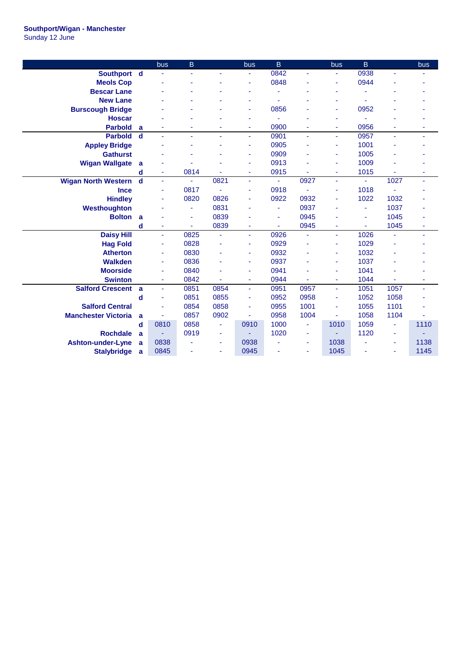## **Southport/Wigan - Manchester**

Sunday 12 June

|                            |             | bus  | B    |                | bus      | B    |                          | bus            | $\overline{B}$ |      | bus  |
|----------------------------|-------------|------|------|----------------|----------|------|--------------------------|----------------|----------------|------|------|
| Southport d                |             |      | ä,   |                | ÷        | 0842 | ÷.                       | ä,             | 0938           |      |      |
| <b>Meols Cop</b>           |             |      |      |                | ٠        | 0848 |                          | ٠              | 0944           |      |      |
| <b>Bescar Lane</b>         |             |      |      |                |          |      |                          | ٠              |                |      |      |
| <b>New Lane</b>            |             |      |      |                |          |      |                          | ۰              |                |      |      |
| <b>Burscough Bridge</b>    |             |      |      |                | ٠        | 0856 |                          | ۰              | 0952           |      |      |
| <b>Hoscar</b>              |             |      |      |                | ٠        |      |                          | ٠              |                |      |      |
| <b>Parbold</b>             | a           |      |      |                |          | 0900 |                          | ä,             | 0956           |      |      |
| <b>Parbold</b>             | $\mathbf d$ | ÷,   | ä,   |                | ٠        | 0901 |                          | ٠              | 0957           | ä,   |      |
| <b>Appley Bridge</b>       |             |      | ÷    |                | ۰        | 0905 |                          | ÷              | 1001           |      |      |
| <b>Gathurst</b>            |             |      |      |                | ۰        | 0909 |                          | ÷              | 1005           |      |      |
| <b>Wigan Wallgate</b>      | a           |      |      |                |          | 0913 |                          | ÷              | 1009           |      |      |
|                            | d           | ۰    | 0814 |                | ÷        | 0915 |                          | ٠              | 1015           |      | ٠    |
| <b>Wigan North Western</b> | $\mathbf d$ | ÷,   | ÷.   | 0821           | $\omega$ | ä,   | 0927                     | Ξ              | ÷.             | 1027 | ä,   |
| <b>Ince</b>                |             | ٠    | 0817 | ä,             | ٠        | 0918 |                          | ÷              | 1018           | ä,   |      |
| <b>Hindley</b>             |             | ٠    | 0820 | 0826           |          | 0922 | 0932                     | ÷              | 1022           | 1032 |      |
| Westhoughton               |             |      | ٠    | 0831           |          |      | 0937                     | ÷              |                | 1037 |      |
| <b>Bolton</b>              | a           |      | ÷,   | 0839           |          | ä,   | 0945                     | ä,             | ä,             | 1045 |      |
|                            | $\mathbf d$ | ÷    | ÷    | 0839           | ä,       | ٠    | 0945                     | ÷              | ä,             | 1045 |      |
| <b>Daisy Hill</b>          |             | ÷,   | 0825 | ÷,             | ä,       | 0926 | ä,                       | ä,             | 1026           | ä,   | ٠    |
| <b>Hag Fold</b>            |             | ٠    | 0828 |                | ٠        | 0929 |                          | ÷              | 1029           |      |      |
| <b>Atherton</b>            |             | ٠    | 0830 |                | ۰        | 0932 |                          | ÷              | 1032           |      |      |
| <b>Walkden</b>             |             | Ξ    | 0836 |                | ٠        | 0937 |                          | ä,             | 1037           |      |      |
| <b>Moorside</b>            |             | ÷    | 0840 |                |          | 0941 |                          | ä,             | 1041           |      |      |
| <b>Swinton</b>             |             | ٠    | 0842 |                | ٠        | 0944 |                          | ٠              | 1044           |      |      |
| <b>Salford Crescent</b>    | a           | Ξ    | 0851 | 0854           | $\omega$ | 0951 | 0957                     | $\blacksquare$ | 1051           | 1057 | ä,   |
|                            | $\mathbf d$ | ÷    | 0851 | 0855           | ٠        | 0952 | 0958                     | ٠              | 1052           | 1058 |      |
| <b>Salford Central</b>     |             | ä,   | 0854 | 0858           | ä,       | 0955 | 1001                     | ä,             | 1055           | 1101 |      |
| <b>Manchester Victoria</b> | a           |      | 0857 | 0902           |          | 0958 | 1004                     | ä,             | 1058           | 1104 |      |
|                            | d           | 0810 | 0858 | ä,             | 0910     | 1000 | ä,                       | 1010           | 1059           | ä,   | 1110 |
| <b>Rochdale</b>            | a           |      | 0919 | $\blacksquare$ |          | 1020 | ٠                        | ÷,             | 1120           | ä,   |      |
| <b>Ashton-under-Lyne</b>   | a           | 0838 | ٠    | $\blacksquare$ | 0938     |      | $\overline{\phantom{a}}$ | 1038           |                | ٠    | 1138 |
| <b>Stalybridge</b>         | a           | 0845 |      | ÷              | 0945     |      |                          | 1045           |                |      | 1145 |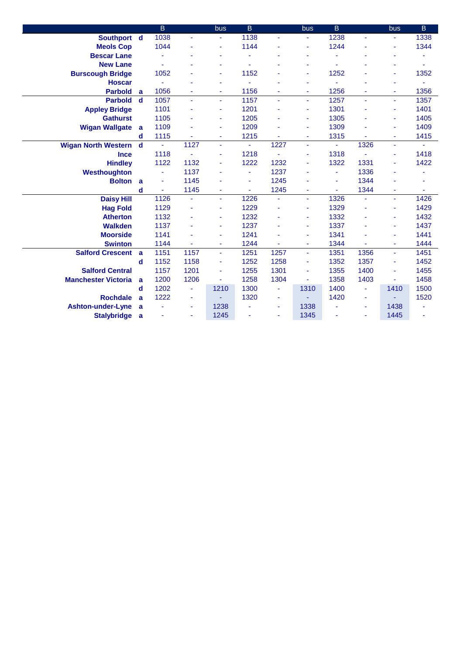|                            |             | B        |                | bus  | $\overline{B}$ |      | <b>bus</b>     | $\overline{B}$ |      | <b>bus</b> | B              |
|----------------------------|-------------|----------|----------------|------|----------------|------|----------------|----------------|------|------------|----------------|
| Southport d                |             | 1038     | ä,             |      | 1138           | ä,   | $\blacksquare$ | 1238           |      |            | 1338           |
| <b>Meols Cop</b>           |             | 1044     |                |      | 1144           |      | ä,             | 1244           |      | ٠          | 1344           |
| <b>Bescar Lane</b>         |             |          |                |      |                |      |                |                |      |            |                |
| <b>New Lane</b>            |             |          |                |      |                |      |                |                |      |            |                |
| <b>Burscough Bridge</b>    |             | 1052     |                |      | 1152           |      | ä,             | 1252           |      | ٠          | 1352           |
| <b>Hoscar</b>              |             |          |                |      | ä              |      |                | ÷              |      | ٠          | ä,             |
| <b>Parbold</b>             | a           | 1056     |                |      | 1156           |      |                | 1256           |      | ٠          | 1356           |
| <b>Parbold</b>             | $\mathbf d$ | 1057     | ÷,             |      | 1157           | ä,   | ä,             | 1257           |      | ä,         | 1357           |
| <b>Appley Bridge</b>       |             | 1101     |                | ٠    | 1201           | ä,   | ä,             | 1301           |      | ٠          | 1401           |
| <b>Gathurst</b>            |             | 1105     |                |      | 1205           | ÷    | ä,             | 1305           |      | ٠          | 1405           |
| <b>Wigan Wallgate</b>      | a           | 1109     |                | ٠    | 1209           | ä,   | ä,             | 1309           |      | ٠          | 1409           |
|                            | d           | 1115     |                | ٠    | 1215           |      | ÷              | 1315           |      | ÷          | 1415           |
| <b>Wigan North Western</b> | $\mathbf d$ | $\omega$ | 1127           | ÷.   | $\blacksquare$ | 1227 | $\blacksquare$ | $\sim$         | 1326 | ä,         | $\blacksquare$ |
| <b>Ince</b>                |             | 1118     |                |      | 1218           |      | ä,             | 1318           |      | ٠          | 1418           |
| <b>Hindley</b>             |             | 1122     | 1132           |      | 1222           | 1232 |                | 1322           | 1331 |            | 1422           |
| Westhoughton               |             |          | 1137           |      | ä,             | 1237 |                | ÷              | 1336 |            |                |
| <b>Bolton</b>              | a           |          | 1145           |      | ٠              | 1245 |                | $\blacksquare$ | 1344 |            |                |
|                            | d           | ä,       | 1145           |      | ÷.             | 1245 |                | ÷,             | 1344 | ٠          | ٠              |
| <b>Daisy Hill</b>          |             | 1126     | ÷,             |      | 1226           | Ξ    | $\blacksquare$ | 1326           |      | ÷.         | 1426           |
| <b>Hag Fold</b>            |             | 1129     | ÷              |      | 1229           | ä,   | ä,             | 1329           |      | ÷          | 1429           |
| <b>Atherton</b>            |             | 1132     | $\blacksquare$ |      | 1232           |      | ä,             | 1332           |      | ٠          | 1432           |
| <b>Walkden</b>             |             | 1137     |                |      | 1237           |      | ä,             | 1337           |      | ٠          | 1437           |
| <b>Moorside</b>            |             | 1141     |                |      | 1241           |      |                | 1341           |      |            | 1441           |
| <b>Swinton</b>             |             | 1144     |                | ٠    | 1244           | ä,   | ÷              | 1344           |      | ÷          | 1444           |
| <b>Salford Crescent</b>    | a           | 1151     | 1157           | ÷.   | 1251           | 1257 | ä,             | 1351           | 1356 | ä,         | 1451           |
|                            | d           | 1152     | 1158           |      | 1252           | 1258 | ä,             | 1352           | 1357 | ä,         | 1452           |
| <b>Salford Central</b>     |             | 1157     | 1201           |      | 1255           | 1301 |                | 1355           | 1400 | ä,         | 1455           |
| <b>Manchester Victoria</b> | a           | 1200     | 1206           | ٠    | 1258           | 1304 | ÷              | 1358           | 1403 | ÷          | 1458           |
|                            | d           | 1202     | ÷              | 1210 | 1300           | ٠    | 1310           | 1400           |      | 1410       | 1500           |
| <b>Rochdale</b>            | a           | 1222     | $\blacksquare$ |      | 1320           | ٠    |                | 1420           |      |            | 1520           |
| Ashton-under-Lyne          | a           |          | ÷              | 1238 |                | ä,   | 1338           |                |      | 1438       |                |
| <b>Stalybridge</b>         | a           |          | ٠              | 1245 |                | ٠    | 1345           |                |      | 1445       | ۰              |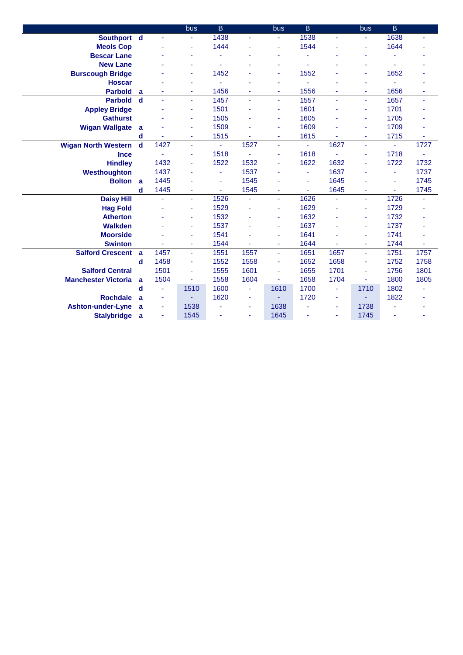|                            |             |                | bus            | $\mathsf B$ |      | bus  | B              |      | bus  | B    |      |
|----------------------------|-------------|----------------|----------------|-------------|------|------|----------------|------|------|------|------|
| Southport d                |             | ÷.             | ٠              | 1438        | ٠    |      | 1538           | ä,   |      | 1638 | ٠    |
| <b>Meols Cop</b>           |             |                | ÷              | 1444        |      | ä,   | 1544           |      |      | 1644 |      |
| <b>Bescar Lane</b>         |             |                | ÷              |             |      | ä,   |                |      |      |      |      |
| <b>New Lane</b>            |             |                | $\blacksquare$ |             |      |      |                |      |      |      |      |
| <b>Burscough Bridge</b>    |             |                | ÷              | 1452        | L,   | ä,   | 1552           |      | ٠    | 1652 |      |
| <b>Hoscar</b>              |             |                | ٠              |             | ä    | ۰    |                |      |      | ä,   |      |
| <b>Parbold</b>             | a           |                | $\blacksquare$ | 1456        | ٠    | ÷    | 1556           |      |      | 1656 | ä,   |
| <b>Parbold</b>             | $\mathbf d$ |                | $\blacksquare$ | 1457        | ä,   | ä,   | 1557           | ä,   |      | 1657 | ÷    |
| <b>Appley Bridge</b>       |             |                | ÷              | 1501        | ä,   | ٠    | 1601           |      | ٠    | 1701 | ٠    |
| <b>Gathurst</b>            |             |                | ÷              | 1505        | ٠    | ٠    | 1605           |      |      | 1705 |      |
| <b>Wigan Wallgate</b>      | a           |                | ÷              | 1509        |      | ÷    | 1609           |      |      | 1709 | ÷    |
|                            | d           |                | ÷              | 1515        |      | ÷    | 1615           |      | ٠    | 1715 | ÷    |
| <b>Wigan North Western</b> | d           | 1427           | ÷              | ÷.          | 1527 | ٠    | $\omega$       | 1627 | ÷.   | ä,   | 1727 |
| <b>Ince</b>                |             |                | ä,             | 1518        | ä,   | ٠    | 1618           | L,   |      | 1718 |      |
| <b>Hindley</b>             |             | 1432           | ÷              | 1522        | 1532 | ٠    | 1622           | 1632 |      | 1722 | 1732 |
| Westhoughton               |             | 1437           | ٠              |             | 1537 |      | ä,             | 1637 |      | ٠    | 1737 |
| <b>Bolton</b>              | a           | 1445           |                | ä,          | 1545 |      | ä,             | 1645 |      | Ξ    | 1745 |
|                            | d           | 1445           |                | ÷.          | 1545 | ٠    | $\blacksquare$ | 1645 |      | ÷.   | 1745 |
| <b>Daisy Hill</b>          |             | ä,             | Ξ              | 1526        | ä,   | ÷.   | 1626           | Ξ    | ÷.   | 1726 | ÷    |
| <b>Hag Fold</b>            |             |                | ÷              | 1529        | ä,   | ٠    | 1629           |      |      | 1729 |      |
| <b>Atherton</b>            |             |                | ٠              | 1532        | ٠    | ۰    | 1632           | ٠    |      | 1732 |      |
| Walkden                    |             |                | ÷              | 1537        | ä    | ÷    | 1637           |      |      | 1737 |      |
| <b>Moorside</b>            |             |                | ٠              | 1541        |      | ٠    | 1641           |      |      | 1741 |      |
| <b>Swinton</b>             |             |                | ٠              | 1544        | ä,   | ٠    | 1644           |      | ٠    | 1744 | ä,   |
| <b>Salford Crescent</b>    | a           | 1457           | Ξ              | 1551        | 1557 | ÷    | 1651           | 1657 | ÷    | 1751 | 1757 |
|                            | d           | 1458           | ٠              | 1552        | 1558 | ÷    | 1652           | 1658 | ٠    | 1752 | 1758 |
| <b>Salford Central</b>     |             | 1501           | $\blacksquare$ | 1555        | 1601 | ÷    | 1655           | 1701 |      | 1756 | 1801 |
| <b>Manchester Victoria</b> | a           | 1504           |                | 1558        | 1604 |      | 1658           | 1704 |      | 1800 | 1805 |
|                            | d           | ä,             | 1510           | 1600        | ٠    | 1610 | 1700           | ÷    | 1710 | 1802 |      |
| <b>Rochdale</b>            | a           | $\blacksquare$ |                | 1620        | ٠    |      | 1720           | ٠    |      | 1822 |      |
| <b>Ashton-under-Lyne</b>   | a           |                | 1538           |             | ٠    | 1638 |                | ٠    | 1738 |      |      |
| <b>Stalybridge</b>         | a           | $\blacksquare$ | 1545           |             | ٠    | 1645 |                | ٠    | 1745 |      |      |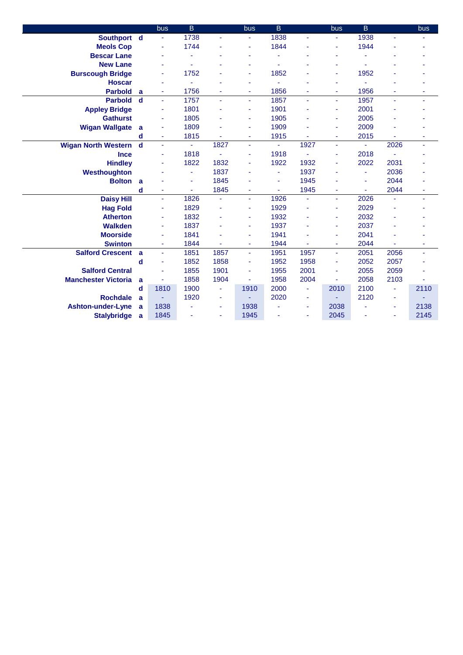|                            |             | bus            | B    |                | bus  | B.   |      | bus            | B.             |                | bus  |
|----------------------------|-------------|----------------|------|----------------|------|------|------|----------------|----------------|----------------|------|
| Southport d                |             | $\blacksquare$ | 1738 |                | ٠    | 1838 | ä,   | ÷              | 1938           | ä,             |      |
| <b>Meols Cop</b>           |             | ä,             | 1744 |                | Ξ    | 1844 |      | ä,             | 1944           |                |      |
| <b>Bescar Lane</b>         |             |                |      |                |      |      |      |                |                |                |      |
| <b>New Lane</b>            |             |                |      |                |      |      |      |                |                |                |      |
| <b>Burscough Bridge</b>    |             | ä,             | 1752 |                | ٠    | 1852 |      | ٠              | 1952           |                |      |
| <b>Hoscar</b>              |             | ä,             |      |                | ٠    |      |      |                |                |                |      |
| <b>Parbold</b>             | a           | ä,             | 1756 |                | ٠    | 1856 |      | ٠              | 1956           |                |      |
| <b>Parbold</b>             | $\mathbf d$ | $\blacksquare$ | 1757 |                | ä,   | 1857 | ä,   | ä,             | 1957           |                |      |
| <b>Appley Bridge</b>       |             | ä,             | 1801 |                | ٠    | 1901 |      | ÷              | 2001           |                |      |
| <b>Gathurst</b>            |             | ä,             | 1805 |                | ٠    | 1905 |      | ٠              | 2005           |                |      |
| <b>Wigan Wallgate</b>      | a           |                | 1809 |                | ٠    | 1909 |      | ٠              | 2009           |                |      |
|                            | d           | Ξ              | 1815 |                | Ξ    | 1915 |      | ÷              | 2015           |                | ٠    |
| <b>Wigan North Western</b> | $\mathbf d$ | ä,             | ÷    | 1827           | ÷.   | ٠    | 1927 | $\blacksquare$ | Ξ              | 2026           | ÷    |
| <b>Ince</b>                |             | ä,             | 1818 |                |      | 1918 |      | ٠              | 2018           |                |      |
| <b>Hindley</b>             |             | ä,             | 1822 | 1832           |      | 1922 | 1932 |                | 2022           | 2031           |      |
| Westhoughton               |             |                | ÷    | 1837           |      | ٠    | 1937 | ٠              |                | 2036           |      |
| <b>Bolton</b>              | a           |                | ä,   | 1845           |      | ٠    | 1945 |                | $\blacksquare$ | 2044           |      |
|                            | d           | ä,             | ÷    | 1845           | ٠    | ä,   | 1945 | ٠              | ÷.             | 2044           | ä,   |
| <b>Daisy Hill</b>          |             | $\blacksquare$ | 1826 | $\blacksquare$ | ٠    | 1926 | ä,   | ä,             | 2026           |                | ÷    |
| <b>Hag Fold</b>            |             | ä,             | 1829 |                | Ξ    | 1929 | ä,   | ٠              | 2029           |                |      |
| <b>Atherton</b>            |             | ä,             | 1832 |                | ٠    | 1932 |      | ä,             | 2032           |                |      |
| <b>Walkden</b>             |             |                | 1837 |                | ٠    | 1937 |      | ٠              | 2037           |                |      |
| <b>Moorside</b>            |             | í,             | 1841 |                |      | 1941 |      | ä,             | 2041           |                |      |
| <b>Swinton</b>             |             | ä,             | 1844 |                | ٠    | 1944 |      | ٠              | 2044           |                | ٠    |
| <b>Salford Crescent</b>    | a           | ä,             | 1851 | 1857           | ÷.   | 1951 | 1957 | Ξ              | 2051           | 2056           | ä,   |
|                            | d           | ä,             | 1852 | 1858           | ä,   | 1952 | 1958 | ÷              | 2052           | 2057           |      |
| <b>Salford Central</b>     |             | ä,             | 1855 | 1901           | ٠    | 1955 | 2001 | ٠              | 2055           | 2059           |      |
| <b>Manchester Victoria</b> | a           |                | 1858 | 1904           | ٠    | 1958 | 2004 | ٠              | 2058           | 2103           |      |
|                            | d           | 1810           | 1900 | $\blacksquare$ | 1910 | 2000 | ä,   | 2010           | 2100           | ä,             | 2110 |
| <b>Rochdale</b>            | a           |                | 1920 |                |      | 2020 | ÷    |                | 2120           | $\blacksquare$ |      |
| <b>Ashton-under-Lyne</b>   | a           | 1838           |      | ٠              | 1938 |      | ÷    | 2038           |                | $\blacksquare$ | 2138 |
| <b>Stalybridge</b>         | a           | 1845           |      |                | 1945 | ۰    | ä,   | 2045           |                | ä,             | 2145 |